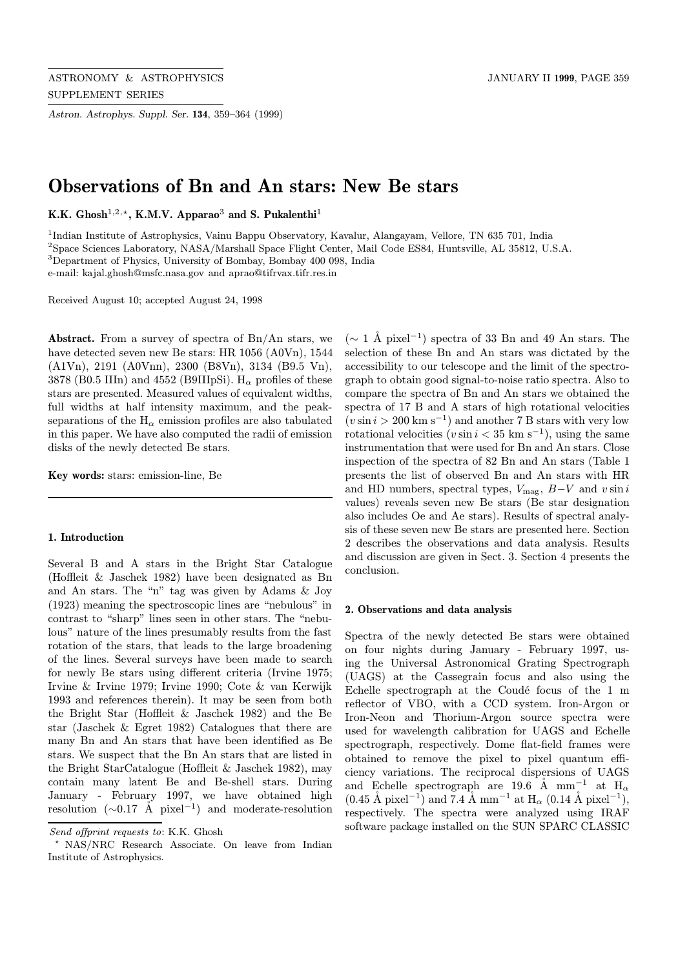Astron. Astrophys. Suppl. Ser. 134, 359–364 (1999)

# Observations of Bn and An stars: New Be stars

K.K. Ghosh<sup>1,2,\*</sup>, K.M.V. Apparao<sup>3</sup> and S. Pukalenthi<sup>1</sup>

Indian Institute of Astrophysics, Vainu Bappu Observatory, Kavalur, Alangayam, Vellore, TN 635 701, India Space Sciences Laboratory, NASA/Marshall Space Flight Center, Mail Code ES84, Huntsville, AL 35812, U.S.A. Department of Physics, University of Bombay, Bombay 400 098, India e-mail: kajal.ghosh@msfc.nasa.gov and aprao@tifrvax.tifr.res.in

Received August 10; accepted August 24, 1998

Abstract. From a survey of spectra of Bn/An stars, we have detected seven new Be stars: HR 1056 (A0Vn), 1544 (A1Vn), 2191 (A0Vnn), 2300 (B8Vn), 3134 (B9.5 Vn), 3878 (B0.5 IIIn) and 4552 (B9IIIpSi).  $H_{\alpha}$  profiles of these stars are presented. Measured values of equivalent widths, full widths at half intensity maximum, and the peakseparations of the  $H_{\alpha}$  emission profiles are also tabulated in this paper. We have also computed the radii of emission disks of the newly detected Be stars.

Key words: stars: emission-line, Be

#### 1. Introduction

Several B and A stars in the Bright Star Catalogue (Hoffleit & Jaschek 1982) have been designated as Bn and An stars. The "n" tag was given by Adams & Joy (1923) meaning the spectroscopic lines are "nebulous" in contrast to "sharp" lines seen in other stars. The "nebulous" nature of the lines presumably results from the fast rotation of the stars, that leads to the large broadening of the lines. Several surveys have been made to search for newly Be stars using different criteria (Irvine 1975; Irvine & Irvine 1979; Irvine 1990; Cote & van Kerwijk 1993 and references therein). It may be seen from both the Bright Star (Hoffleit & Jaschek 1982) and the Be star (Jaschek & Egret 1982) Catalogues that there are many Bn and An stars that have been identified as Be stars. We suspect that the Bn An stars that are listed in the Bright StarCatalogue (Hoffleit & Jaschek 1982), may contain many latent Be and Be-shell stars. During January - February 1997, we have obtained high resolution  $(\sim 0.17 \text{ Å pixel}^{-1})$  and moderate-resolution

 $(∼ 1 Å pixel<sup>-1</sup>)$  spectra of 33 Bn and 49 An stars. The selection of these Bn and An stars was dictated by the accessibility to our telescope and the limit of the spectrograph to obtain good signal-to-noise ratio spectra. Also to compare the spectra of Bn and An stars we obtained the spectra of 17 B and A stars of high rotational velocities  $(v \sin i > 200 \text{ km s}^{-1})$  and another 7 B stars with very low rotational velocities  $(v \sin i < 35 \text{ km s}^{-1})$ , using the same instrumentation that were used for Bn and An stars. Close inspection of the spectra of 82 Bn and An stars (Table 1 presents the list of observed Bn and An stars with HR and HD numbers, spectral types,  $V_{\text{mag}}$ ,  $B-V$  and  $v \sin i$ values) reveals seven new Be stars (Be star designation also includes Oe and Ae stars). Results of spectral analysis of these seven new Be stars are presented here. Section 2 describes the observations and data analysis. Results and discussion are given in Sect. 3. Section 4 presents the conclusion.

#### 2. Observations and data analysis

Spectra of the newly detected Be stars were obtained on four nights during January - February 1997, using the Universal Astronomical Grating Spectrograph (UAGS) at the Cassegrain focus and also using the Echelle spectrograph at the Coudé focus of the  $1 \text{ m}$ reflector of VBO, with a CCD system. Iron-Argon or Iron-Neon and Thorium-Argon source spectra were used for wavelength calibration for UAGS and Echelle spectrograph, respectively. Dome flat-field frames were obtained to remove the pixel to pixel quantum efficiency variations. The reciprocal dispersions of UAGS and Echelle spectrograph are 19.6 Å mm<sup>-1</sup> at  $H_{\alpha}$  $(0.45 \text{ Å pixel}^{-1})$  and 7.4 Å mm<sup>-1</sup> at H<sub>α</sub>  $(0.14 \text{ Å pixel}^{-1})$ , respectively. The spectra were analyzed using IRAF software package installed on the SUN SPARC CLASSIC

Send offprint requests to: K.K. Ghosh

<sup>?</sup> NAS/NRC Research Associate. On leave from Indian Institute of Astrophysics.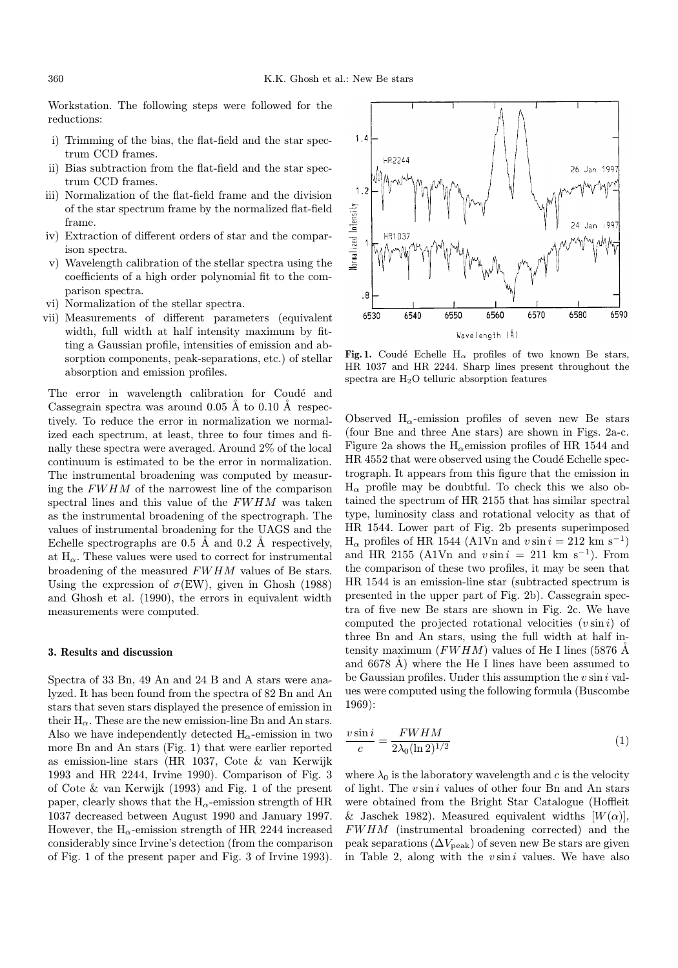Workstation. The following steps were followed for the reductions:

- i) Trimming of the bias, the flat-field and the star spectrum CCD frames.
- ii) Bias subtraction from the flat-field and the star spectrum CCD frames.
- iii) Normalization of the flat-field frame and the division of the star spectrum frame by the normalized flat-field frame.
- iv) Extraction of different orders of star and the comparison spectra.
- v) Wavelength calibration of the stellar spectra using the coefficients of a high order polynomial fit to the comparison spectra.
- vi) Normalization of the stellar spectra.
- vii) Measurements of different parameters (equivalent width, full width at half intensity maximum by fitting a Gaussian profile, intensities of emission and absorption components, peak-separations, etc.) of stellar absorption and emission profiles.

The error in wavelength calibration for Coudé and Cassegrain spectra was around  $0.05 \text{ Å}$  to  $0.10 \text{ Å}$  respectively. To reduce the error in normalization we normalized each spectrum, at least, three to four times and finally these spectra were averaged. Around 2% of the local continuum is estimated to be the error in normalization. The instrumental broadening was computed by measuring the FWHM of the narrowest line of the comparison spectral lines and this value of the FWHM was taken as the instrumental broadening of the spectrograph. The values of instrumental broadening for the UAGS and the Echelle spectrographs are  $0.5 \text{ Å}$  and  $0.2 \text{ Å}$  respectively, at  $H_{\alpha}$ . These values were used to correct for instrumental broadening of the measured FWHM values of Be stars. Using the expression of  $\sigma$ (EW), given in Ghosh (1988) and Ghosh et al. (1990), the errors in equivalent width measurements were computed.

## 3. Results and discussion

Spectra of 33 Bn, 49 An and 24 B and A stars were analyzed. It has been found from the spectra of 82 Bn and An stars that seven stars displayed the presence of emission in their  $H_{\alpha}$ . These are the new emission-line Bn and An stars. Also we have independently detected  $H_{\alpha}$ -emission in two more Bn and An stars (Fig. 1) that were earlier reported as emission-line stars (HR 1037, Cote & van Kerwijk 1993 and HR 2244, Irvine 1990). Comparison of Fig. 3 of Cote & van Kerwijk (1993) and Fig. 1 of the present paper, clearly shows that the  $H_{\alpha}$ -emission strength of HR 1037 decreased between August 1990 and January 1997. However, the  $H_{\alpha}$ -emission strength of HR 2244 increased considerably since Irvine's detection (from the comparison of Fig. 1 of the present paper and Fig. 3 of Irvine 1993).



Fig. 1. Coudé Echelle H<sub>α</sub> profiles of two known Be stars, HR 1037 and HR 2244. Sharp lines present throughout the spectra are H2O telluric absorption features

Observed  $H_{\alpha}$ -emission profiles of seven new Be stars (four Bne and three Ane stars) are shown in Figs. 2a-c. Figure 2a shows the  $H_{\alpha}$ emission profiles of HR 1544 and HR 4552 that were observed using the Coudé Echelle spectrograph. It appears from this figure that the emission in  $H_{\alpha}$  profile may be doubtful. To check this we also obtained the spectrum of HR 2155 that has similar spectral type, luminosity class and rotational velocity as that of HR 1544. Lower part of Fig. 2b presents superimposed  $H_{\alpha}$  profiles of HR 1544 (A1Vn and  $v \sin i = 212$  km s<sup>-1</sup>) and HR 2155 (A1Vn and  $v \sin i = 211 \text{ km s}^{-1}$ ). From the comparison of these two profiles, it may be seen that HR 1544 is an emission-line star (subtracted spectrum is presented in the upper part of Fig. 2b). Cassegrain spectra of five new Be stars are shown in Fig. 2c. We have computed the projected rotational velocities  $(v \sin i)$  of three Bn and An stars, using the full width at half intensity maximum  $(FWHM)$  values of He I lines (5876 Å and  $6678$  Å) where the He I lines have been assumed to be Gaussian profiles. Under this assumption the  $v \sin i$  values were computed using the following formula (Buscombe 1969):

$$
\frac{v\sin i}{c} = \frac{FWHM}{2\lambda_0 (\ln 2)^{1/2}}\tag{1}
$$

where  $\lambda_0$  is the laboratory wavelength and c is the velocity of light. The  $v \sin i$  values of other four Bn and An stars were obtained from the Bright Star Catalogue (Hoffleit & Jaschek 1982). Measured equivalent widths  $[W(\alpha)],$ FWHM (instrumental broadening corrected) and the peak separations  $(\Delta V_{\text{peak}})$  of seven new Be stars are given in Table 2, along with the  $v \sin i$  values. We have also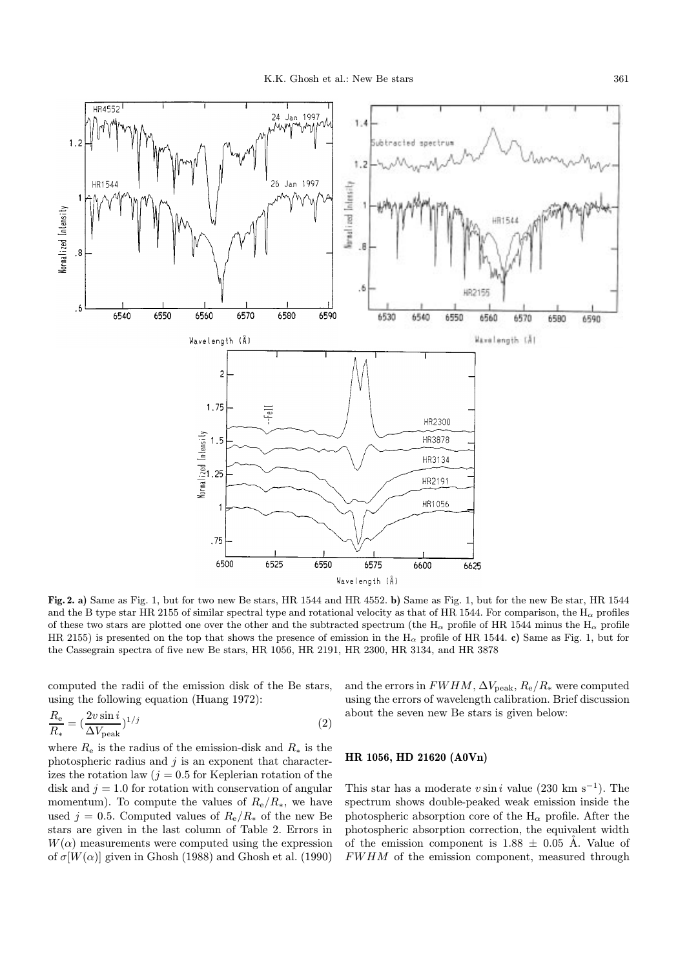

Fig. 2. a) Same as Fig. 1, but for two new Be stars, HR 1544 and HR 4552. b) Same as Fig. 1, but for the new Be star, HR 1544 and the B type star HR 2155 of similar spectral type and rotational velocity as that of HR 1544. For comparison, the H<sub>α</sub> profiles of these two stars are plotted one over the other and the subtracted spectrum (the H<sub>α</sub> profile of HR 1544 minus the H<sub>α</sub> profile HR 2155) is presented on the top that shows the presence of emission in the  $H_{\alpha}$  profile of HR 1544. c) Same as Fig. 1, but for the Cassegrain spectra of five new Be stars, HR 1056, HR 2191, HR 2300, HR 3134, and HR 3878

computed the radii of the emission disk of the Be stars, using the following equation (Huang 1972):

$$
\frac{R_e}{R_*} = \left(\frac{2v\sin i}{\Delta V_{\text{peak}}}\right)^{1/j} \tag{2}
$$

where  $R_e$  is the radius of the emission-disk and  $R_*$  is the photospheric radius and  $j$  is an exponent that characterizes the rotation law ( $j = 0.5$  for Keplerian rotation of the disk and  $j = 1.0$  for rotation with conservation of angular momentum). To compute the values of  $R_e/R_*$ , we have used j = 0.5. Computed values of  $R_e/R_*$  of the new Be stars are given in the last column of Table 2. Errors in  $W(\alpha)$  measurements were computed using the expression of  $\sigma[W(\alpha)]$  given in Ghosh (1988) and Ghosh et al. (1990)

and the errors in  $FWHM$ ,  $\Delta V_{\text{peak}}$ ,  $R_{\text{e}}/R_{*}$  were computed using the errors of wavelength calibration. Brief discussion about the seven new Be stars is given below:

## HR 1056, HD 21620 (A0Vn)

This star has a moderate v sin i value (230 km s<sup>-1</sup>). The spectrum shows double-peaked weak emission inside the photospheric absorption core of the  $H_{\alpha}$  profile. After the photospheric absorption correction, the equivalent width of the emission component is  $1.88 \pm 0.05$  Å. Value of FWHM of the emission component, measured through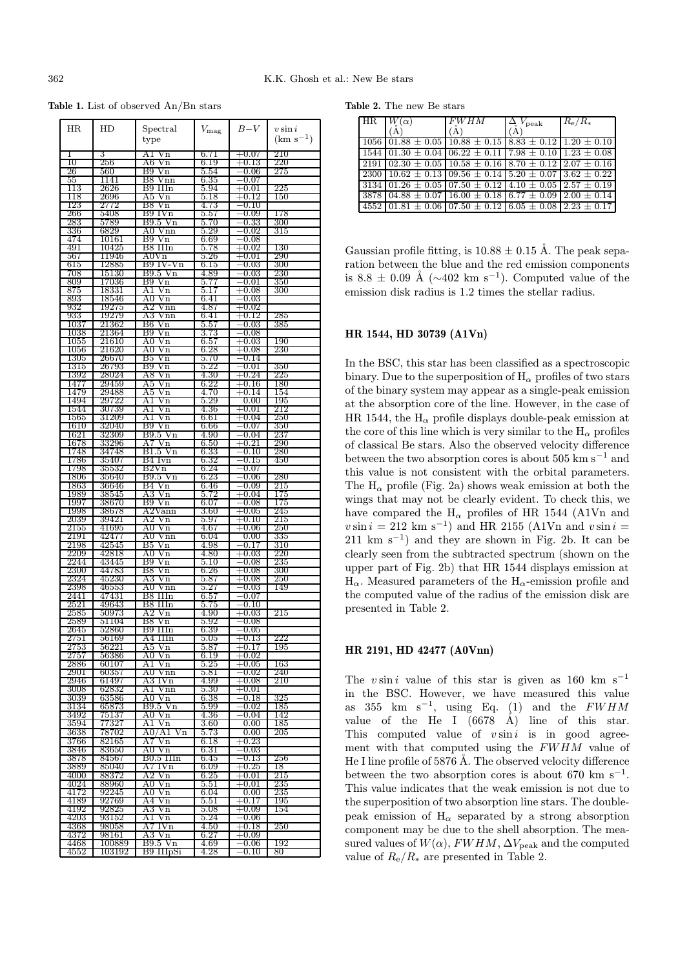Table 1. List of observed An/Bn stars

| HR               | HD             | Spectral<br>type              | $V_{\rm mag}$     | $B-V$                            | $v \sin i$<br>$(km s^{-1})$ |
|------------------|----------------|-------------------------------|-------------------|----------------------------------|-----------------------------|
| 1                | 3              | A1<br>Vn                      | 6.71              | $+0.07$                          | 210                         |
| 10               | 256            | A6<br>Vn                      | 6.19              | $+0.13\,$                        | 220                         |
| 26               | 560            | Β9<br>Vn                      | 5.54              | 0.06                             | 275                         |
| 55               | 1141           | B8 Vnn                        | $6.35\,$          | $-0.07$                          |                             |
| 113              | 2626           | B9 IIIn                       | 5.94              | $\rm +0.01$                      | 225                         |
| 118              | 2696           | A5<br>Vn<br>B8 Vn             | $5.18\,$          | $\rm +0.12$                      | 150                         |
| 123<br>266       | 2772<br>5408   | B9 IVn                        | 4.73<br>$_{5.57}$ | -0.10<br>$-0.09$                 | 178                         |
| $\overline{283}$ | 5789           | B9.5Vn                        | 5.70              | $^{\rm -0.33}$                   | 300                         |
| 336              | 6829           | A0 Vnn                        | 5.29              | $-0.02$                          | $_{315}$                    |
| 474              | 10161          | B9 Vn                         | 6.69              | $-0.08\,$                        |                             |
| 491              | 10425          | B8 IIIn                       | $5.78\,$          | $+0.02$                          | 130                         |
| 567              | 11946          | $\rm{A0Vn}$                   | $5.26\,$          | $+0.01$                          | 290                         |
| 615              | 12885          | B9 IV-Vn                      | 6.15              | -0.03                            | 300                         |
| 708              | 15130          | B9.5 Vn                       | 4.89              | $-0.03$                          | 230                         |
| 809              | 17036          | B9 Vn                         | 5.77              | $-0.01$                          | 350                         |
| 875<br>893       | 18331<br>18546 | A1<br>Vn<br>A0                | $5.17\,$<br>6.41  | $+0.08$<br>$-0.03$               | 300                         |
| 932              | 19275          | Vn<br>Vnn<br>A2               | 4.87              | $+0.02\,$                        |                             |
| 933              | 19279          | A3<br>Vnn                     | 6.41              | $+0.12\,$                        | 285                         |
| 1037             | 21362          | B6<br>Vn                      | $5.57\,$          | $-0.03\,$                        | 385                         |
| 1038             | 21364          | B9<br>Vn                      | 3.73              | $^{-0.08}$                       |                             |
| 1055             | 21610          | $\rm{Vn}$<br>A0               | $_{6.57}$         | $+0.03$                          | 190                         |
| 1056             | 21620          | A0<br>Vn                      | 6.28              | $+0.08$                          | 230                         |
| 1305             | 26670          | $\sqrt{\ }n$<br>B5            | $5.70\,$          | $-0.14$                          |                             |
| 1315             | 26793          | B9<br>$\rm Vn$                | $5.22\,$          | $-0.01\,$                        | 350                         |
| 1392             | 28024          | A8<br>Vn                      | 4.30              | $+0.24\,$                        | 225                         |
| 1477<br>1479     | 29459<br>29488 | A5<br>$_{\rm Vn}$<br>A5<br>Vn | 6.22<br>4.70      | $+0.16\hphantom{0}$<br>$+0.14\,$ | 180<br>154                  |
| 1494             | 29722          | A1<br>Vn                      | 5.29              | 0.00                             | 195                         |
| 1544             | 30739          | A1<br>$V_{n}$                 | 4.36              | $+0.01\,$                        | 212                         |
| $1565\,$         | 31209          | A1<br>Vn                      | 6.61              | $+0.04\,$                        | 250                         |
| 1610             | 32040          | B9 Vn                         | $6.66\,$          | -0.07                            | 350                         |
| 1621             | 32309          | B9.5 Vn                       | 4.90              | $-0.04\,$                        | 237                         |
| 1678             | 33296          | A7 Vn                         | $6.50\,$          | $+0.21\,$                        | 290                         |
| 1748             | 34748          | B1.5 Vn                       | $_{6.33}$         | -0.10                            | 280                         |
| 1786             | 35407          | B4 Ivn                        | $6.32\,$          | $-0.15\,$                        | 450                         |
| 1798<br>1806     | 35532<br>35640 | B2Vn<br>B9.5 Vn               | 6.24<br>6.23      | $^{\rm -0.07}$<br>$^{-0.06}$     | 280                         |
| 1863             | 36646          | B4 Vn                         | 6.46              | -0.09                            | 215                         |
| 1989             | 38545          | ΑЗ<br>Vn                      | $5.72\,$          | $+0.04\,$                        | 175                         |
| 1997             | 38670          | Β9<br>$V_{n}$                 | 6.07              | $^{\rm -0.08}$                   | 175                         |
| 1998             | 38678          | A2Vann                        | $3.60\,$          | $+0.05\hphantom{0}$              | 245                         |
| 2039             | 39421          | A2<br>Vn                      | 5.97              | $+0.10\,$                        | $215\,$                     |
| 2155             | 41695          | A0 Vn                         | 4.67              | $+0.06$                          | 250                         |
| $^{2191}$        | 42477          | A0 Vnn                        | 6.04              | $_{0.00}$                        | 335                         |
| 2198<br>2209     | 42545          | B5<br>Vn                      | 4.98              | $-0.17\,$                        | 310<br>220                  |
|                  | 42818<br>43445 | A0<br>Vn<br>B9 Vn             | 4.80<br>5.10      | $+0.03$<br>$^{-0.08}$            | 235                         |
| 2244<br>2300     | 44783          | Β8<br>Vn                      | 6.26              | $+0.08$                          | 300                         |
| 2324             | 45230          | A3 Vn                         | 5.87              | $+0.08$                          | 250                         |
| 2398             | 46553          | A0 Vnn                        | $5.27\,$          | $-0.03$                          | 149                         |
| 2441             | 47431          | B8 IIIn                       | 6.57              | $-0.07$                          |                             |
| $2521\,$         | 49643          | B8 IIIn                       | $5.75\,$          | $-0.10$                          |                             |
| 2585             | 50973          | A2 Vn                         | 4.90              | $+0.03$                          | $2\overline{1}5$            |
| 2589             | 51104          | B8 Vn                         | $_{5.92}$         | $-0.08$                          |                             |
| 2645<br>2751     | 52860<br>56169 | B9 IIIn                       | 6.39              | $-0.05$<br>$+0.13$               | 222                         |
| 2753             | 56221          | A4 IIIn<br>A5 Vn              | 5.05<br>$_{5.87}$ | $+0.17$                          | 195                         |
| 2757             | 56386          | A0 Vn                         | 6.19              | $\rm +0.02$                      |                             |
| 2886             | 60107          | A1 Vn                         | $5.25\,$          | $^{+0.05}$                       | 163                         |
| 2901             | 60357          | A0 Vnn                        | $5.81\,$          | $-0.02\,$                        | 240                         |
| 2946             | 61497          | A3 IVn                        | 4.99              | $+0.08$                          | 210                         |
| 3008             | 62832          | Al<br>Vnn                     | $5.30\,$          | $+0.01$                          |                             |
| 3039             | 63586          | A0 Vn                         | $_{6.38}$         | 0.18                             | 325                         |
| 3134             | 65873          | B9.5 Vn                       | 5.99              | -0.02                            | 185                         |
| 3492<br>3594     | 75137          | A0 Vn                         | 4.36              | -0.04                            | 142                         |
|                  | 77327<br>78702 | $V_{n}$<br>A1<br>Vn           | 3.60              | $0.00\,$<br>0.00                 | 185<br>205                  |
| 3638<br>3766     | 82165          | A0/A1<br>A7 Vn                | 5.73<br>$6.18\,$  | $+0.23$                          |                             |
| 3846             | 83650          | A0 Vn                         | 6.31              | -0.03                            |                             |
| 3878             | 84567          | B0.5 IIIn                     | $_{6.45}$         | $-0.13\,$                        | 256                         |
| 3889             | 85040          | A7 IVn                        | 6.09              | $+0.25$                          | 18                          |
| 4000             | 88372          | A2 Vn                         | $6.25\,$          | $+0.01$                          | 215                         |
| 4024             | 88960          | A0 Vn                         | $5.51\,$          | $+0.01$                          | 235                         |
| 4172             | 92245          | $\rm{A0~Vn}$                  | $6.04\,$          | 0.00                             | 235                         |
| 4189             | 92769          | A4 Vn                         | $_{5.51}$         | $+0.17$                          | 195                         |
| 4192             | 92825          | A3 Vn                         | 5.08              | $+0.09$                          | 154                         |
| 4203<br>4368     | 93152<br>98058 | Al Vn<br>A7 IVn               | $5.24\,$<br>4.50  | $^{-0.06}$<br>$+0.18$            | 250                         |
| 4372             | 98161          | A3 Vn                         | 6.27              | $+0.09$                          |                             |
| 4468             | 100889         | B9.5 Vn                       | 4.69              | $-0.06\hphantom{0}$              | 192                         |
| 4552             | 103192         | B9 IIIpSi                     | 4.28              | 0.10                             | 80                          |

Table 2. The new Be stars

|      |                                                                                      | <b>FWHM</b>                                                       | $V_{\rm peak}$ | $R_e/R_*$       |
|------|--------------------------------------------------------------------------------------|-------------------------------------------------------------------|----------------|-----------------|
|      |                                                                                      | А                                                                 | A              |                 |
|      | $1056 \mid 01.88 \pm 0.05 \mid 10.88 \pm 0.15 \mid 8.83 \pm 0.12 \mid 1.20 \pm 0.10$ |                                                                   |                |                 |
|      | $1544 \mid 01.30 \pm 0.04 \mid 06.22 \pm 0.11 \mid 7.98 \pm 0.10 \mid 1.23 \pm 0.08$ |                                                                   |                |                 |
| 2191 | $(02.30 \pm 0.05)$ 10.58 $\pm$ 0.16 $(8.70 \pm 0.12)$ 2.07 $\pm$ 0.16                |                                                                   |                |                 |
| 2300 |                                                                                      | $10.62 \pm 0.13$ 09.56 $\pm$ 0.14 5.20 $\pm$ 0.07 3.62 $\pm$ 0.22 |                |                 |
|      | $3134 \mid 01.26 \pm 0.05 \mid 07.50 \pm 0.12 \mid 4.10 \pm 0.05 \mid 2.57 \pm 0.19$ |                                                                   |                |                 |
| 3878 |                                                                                      | $04.88 \pm 0.07$ 16.00 $\pm$ 0.18 6.77 $\pm$ 0.09                 |                | $2.00 \pm 0.14$ |
| 4552 | $(01.81 \pm 0.06) 07.50 \pm 0.12) 6.05 \pm 0.08) 2.23 \pm 0.17$                      |                                                                   |                |                 |

Gaussian profile fitting, is  $10.88 \pm 0.15$  Å. The peak separation between the blue and the red emission components is 8.8  $\pm$  0.09 Å ( $\sim$ 402 km s<sup>-1</sup>). Computed value of the emission disk radius is 1.2 times the stellar radius.

## HR 1544, HD 30739 (A1Vn)

In the BSC, this star has been classified as a spectroscopic binary. Due to the superposition of  $H_{\alpha}$  profiles of two stars of the binary system may appear as a single-peak emission at the absorption core of the line. However, in the case of HR 1544, the  $H_{\alpha}$  profile displays double-peak emission at the core of this line which is very similar to the  $H_{\alpha}$  profiles of classical Be stars. Also the observed velocity difference between the two absorption cores is about 505 km  $s^{-1}$  and this value is not consistent with the orbital parameters. The  $H_{\alpha}$  profile (Fig. 2a) shows weak emission at both the wings that may not be clearly evident. To check this, we have compared the  $H_{\alpha}$  profiles of HR 1544 (A1Vn and  $v \sin i = 212$  km s<sup>-1</sup>) and HR 2155 (A1Vn and  $v \sin i =$ 211 km s<sup>-1</sup>) and they are shown in Fig. 2b. It can be clearly seen from the subtracted spectrum (shown on the upper part of Fig. 2b) that HR 1544 displays emission at  $H_{\alpha}$ . Measured parameters of the  $H_{\alpha}$ -emission profile and the computed value of the radius of the emission disk are presented in Table 2.

## HR 2191, HD 42477 (A0Vnn)

The vsin i value of this star is given as 160 km s<sup>-1</sup> in the BSC. However, we have measured this value as 355 km  $s^{-1}$ , using Eq. (1) and the FWHM value of the He I  $(6678 \text{ Å})$  line of this star. This computed value of  $v \sin i$  is in good agreement with that computed using the  $FWHM$  value of He I line profile of 5876 Å. The observed velocity difference between the two absorption cores is about 670 km s<sup>-1</sup>. This value indicates that the weak emission is not due to the superposition of two absorption line stars. The doublepeak emission of  $H_{\alpha}$  separated by a strong absorption component may be due to the shell absorption. The measured values of  $W(\alpha)$ , FWHM,  $\Delta V_{\rm peak}$  and the computed value of  $R_e/R_*$  are presented in Table 2.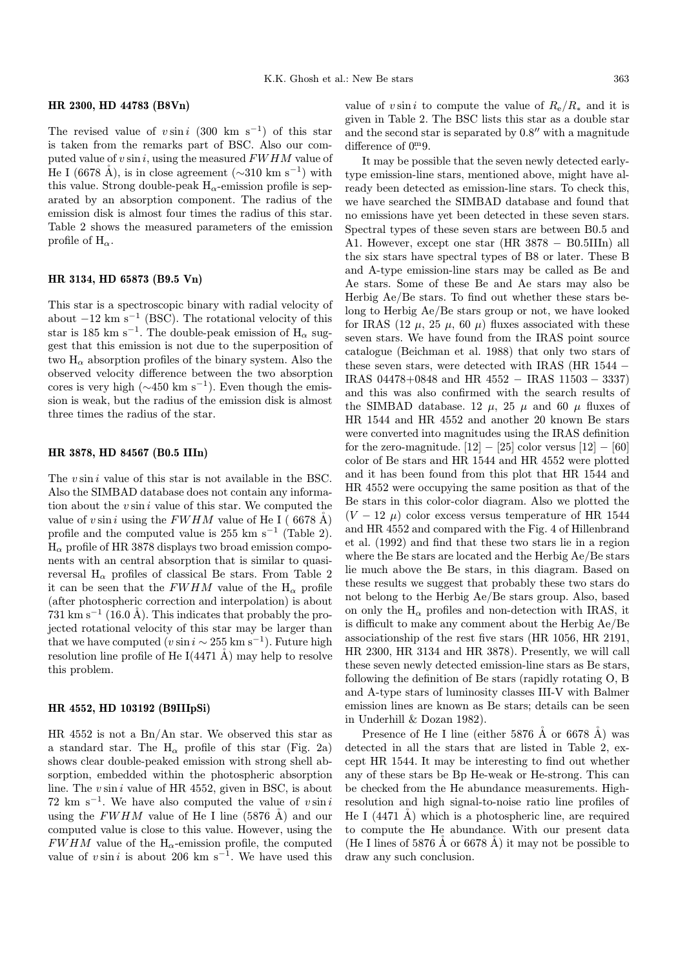## HR 2300, HD 44783 (B8Vn)

The revised value of  $v \sin i$  (300 km s<sup>-1</sup>) of this star is taken from the remarks part of BSC. Also our computed value of  $v \sin i$ , using the measured  $FWHM$  value of He I (6678 Å), is in close agreement ( $\sim$ 310 km s<sup>-1</sup>) with this value. Strong double-peak  $H_{\alpha}$ -emission profile is separated by an absorption component. The radius of the emission disk is almost four times the radius of this star. Table 2 shows the measured parameters of the emission profile of  $H_{\alpha}$ .

#### HR 3134, HD 65873 (B9.5 Vn)

This star is a spectroscopic binary with radial velocity of about  $-12 \text{ km s}^{-1}$  (BSC). The rotational velocity of this star is 185 km s<sup>-1</sup>. The double-peak emission of  $H_0$  suggest that this emission is not due to the superposition of two  $H_{\alpha}$  absorption profiles of the binary system. Also the observed velocity difference between the two absorption cores is very high ( $\sim$ 450 km s<sup>-1</sup>). Even though the emission is weak, but the radius of the emission disk is almost three times the radius of the star.

#### HR 3878, HD 84567 (B0.5 IIIn)

The  $v \sin i$  value of this star is not available in the BSC. Also the SIMBAD database does not contain any information about the  $v \sin i$  value of this star. We computed the value of v sin i using the FWHM value of He I (6678 Å) profile and the computed value is 255 km s<sup>−1</sup> (Table 2).  $H_{\alpha}$  profile of HR 3878 displays two broad emission components with an central absorption that is similar to quasireversal  $H_{\alpha}$  profiles of classical Be stars. From Table 2 it can be seen that the FWHM value of the  $H_{\alpha}$  profile (after photospheric correction and interpolation) is about 731 km s<sup> $-1$ </sup> (16.0 Å). This indicates that probably the projected rotational velocity of this star may be larger than that we have computed (v sin  $i \sim 255$  km s<sup>-1</sup>). Future high resolution line profile of He I $(4471 \text{ Å})$  may help to resolve this problem.

#### HR 4552, HD 103192 (B9IIIpSi)

HR 4552 is not a Bn/An star. We observed this star as a standard star. The  $H_{\alpha}$  profile of this star (Fig. 2a) shows clear double-peaked emission with strong shell absorption, embedded within the photospheric absorption line. The  $v \sin i$  value of HR 4552, given in BSC, is about 72 km s<sup>−1</sup>. We have also computed the value of  $v \sin i$ using the FWHM value of He I line (5876 Å) and our computed value is close to this value. However, using the  $FWHM$  value of the H<sub> $\alpha$ </sub>-emission profile, the computed value of v sin i is about 206 km s<sup>-1</sup>. We have used this value of v sin i to compute the value of  $R_e/R_*$  and it is given in Table 2. The BSC lists this star as a double star and the second star is separated by  $0.8$ " with a magnitude difference of 0. 9.

It may be possible that the seven newly detected earlytype emission-line stars, mentioned above, might have already been detected as emission-line stars. To check this, we have searched the SIMBAD database and found that no emissions have yet been detected in these seven stars. Spectral types of these seven stars are between B0.5 and A1. However, except one star (HR 3878 − B0.5IIIn) all the six stars have spectral types of B8 or later. These B and A-type emission-line stars may be called as Be and Ae stars. Some of these Be and Ae stars may also be Herbig Ae/Be stars. To find out whether these stars belong to Herbig Ae/Be stars group or not, we have looked for IRAS (12  $\mu$ , 25  $\mu$ , 60  $\mu$ ) fluxes associated with these seven stars. We have found from the IRAS point source catalogue (Beichman et al. 1988) that only two stars of these seven stars, were detected with IRAS (HR 1544 − IRAS 04478+0848 and HR 4552 − IRAS 11503 − 3337) and this was also confirmed with the search results of the SIMBAD database. 12  $\mu$ , 25  $\mu$  and 60  $\mu$  fluxes of HR 1544 and HR 4552 and another 20 known Be stars were converted into magnitudes using the IRAS definition for the zero-magnitude.  $[12] - [25]$  color versus  $[12] - [60]$ color of Be stars and HR 1544 and HR 4552 were plotted and it has been found from this plot that HR 1544 and HR 4552 were occupying the same position as that of the Be stars in this color-color diagram. Also we plotted the  $(V - 12 \mu)$  color excess versus temperature of HR 1544 and HR 4552 and compared with the Fig. 4 of Hillenbrand et al. (1992) and find that these two stars lie in a region where the Be stars are located and the Herbig Ae/Be stars lie much above the Be stars, in this diagram. Based on these results we suggest that probably these two stars do not belong to the Herbig Ae/Be stars group. Also, based on only the  $H_{\alpha}$  profiles and non-detection with IRAS, it is difficult to make any comment about the Herbig Ae/Be associationship of the rest five stars (HR 1056, HR 2191, HR 2300, HR 3134 and HR 3878). Presently, we will call these seven newly detected emission-line stars as Be stars, following the definition of Be stars (rapidly rotating O, B and A-type stars of luminosity classes III-V with Balmer emission lines are known as Be stars; details can be seen in Underhill & Dozan 1982).

Presence of He I line (either  $5876$  Å or  $6678$  Å) was detected in all the stars that are listed in Table 2, except HR 1544. It may be interesting to find out whether any of these stars be Bp He-weak or He-strong. This can be checked from the He abundance measurements. Highresolution and high signal-to-noise ratio line profiles of He I  $(4471 \text{ Å})$  which is a photospheric line, are required to compute the He abundance. With our present data (He I lines of 5876 Å or 6678 Å) it may not be possible to draw any such conclusion.